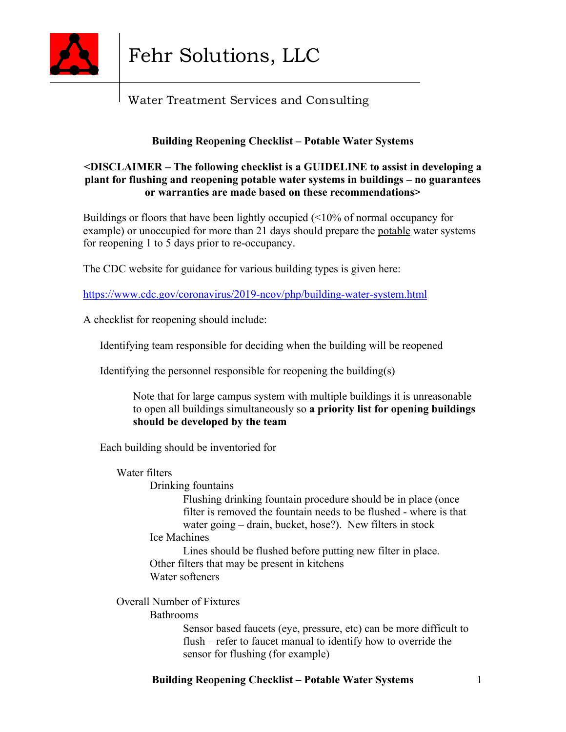

# Water Treatment Services and Consulting

### **Building Reopening Checklist – Potable Water Systems**

#### **<DISCLAIMER – The following checklist is a GUIDELINE to assist in developing a plant for flushing and reopening potable water systems in buildings – no guarantees or warranties are made based on these recommendations>**

Buildings or floors that have been lightly occupied (<10% of normal occupancy for example) or unoccupied for more than 21 days should prepare the potable water systems for reopening 1 to 5 days prior to re-occupancy.

The CDC website for guidance for various building types is given here:

https://www.cdc.gov/coronavirus/2019-ncov/php/building-water-system.html

A checklist for reopening should include:

Identifying team responsible for deciding when the building will be reopened

Identifying the personnel responsible for reopening the building(s)

 Note that for large campus system with multiple buildings it is unreasonable to open all buildings simultaneously so **a priority list for opening buildings should be developed by the team**

Each building should be inventoried for

#### Water filters

Drinking fountains

 Flushing drinking fountain procedure should be in place (once filter is removed the fountain needs to be flushed - where is that water going – drain, bucket, hose?). New filters in stock

Ice Machines

 Lines should be flushed before putting new filter in place. Other filters that may be present in kitchens Water softeners

 Overall Number of Fixtures Bathrooms

> Sensor based faucets (eye, pressure, etc) can be more difficult to flush – refer to faucet manual to identify how to override the sensor for flushing (for example)

#### **Building Reopening Checklist – Potable Water Systems** 1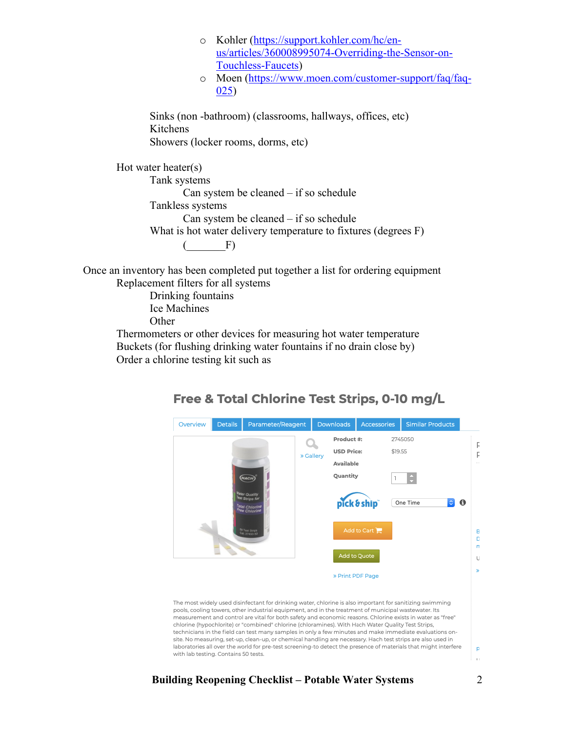o Kohler (https://support.kohler.com/hc/enus/articles/360008995074-Overriding-the-Sensor-on-Touchless-Faucets)

o Moen (https://www.moen.com/customer-support/faq/faq-025)

 Sinks (non -bathroom) (classrooms, hallways, offices, etc) Kitchens Showers (locker rooms, dorms, etc)

 Hot water heater(s) Tank systems Can system be cleaned – if so schedule Tankless systems Can system be cleaned – if so schedule What is hot water delivery temperature to fixtures (degrees F)  $F)$ 

 Once an inventory has been completed put together a list for ordering equipment Replacement filters for all systems

 Drinking fountains Ice Machines **Other**  Thermometers or other devices for measuring hot water temperature Buckets (for flushing drinking water fountains if no drain close by) Order a chlorine testing kit such as



## Free & Total Chlorine Test Strips, 0-10 mg/L

#### **Building Reopening Checklist – Potable Water Systems** 2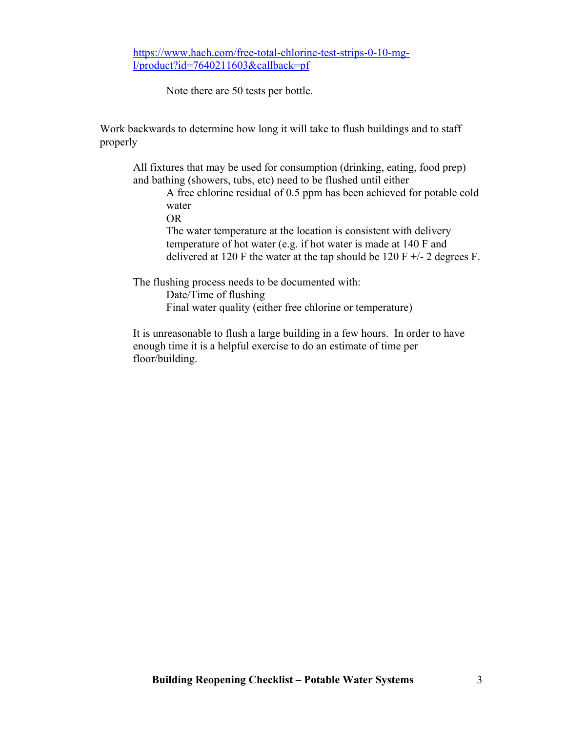https://www.hach.com/free-total-chlorine-test-strips-0-10-mgl/product?id=7640211603&callback=pf

Note there are 50 tests per bottle.

 Work backwards to determine how long it will take to flush buildings and to staff properly

 All fixtures that may be used for consumption (drinking, eating, food prep) and bathing (showers, tubs, etc) need to be flushed until either

> A free chlorine residual of 0.5 ppm has been achieved for potable cold water

OR

 The water temperature at the location is consistent with delivery temperature of hot water (e.g. if hot water is made at 140 F and delivered at 120 F the water at the tap should be 120 F  $+/- 2$  degrees F.

 The flushing process needs to be documented with: Date/Time of flushing Final water quality (either free chlorine or temperature)

 It is unreasonable to flush a large building in a few hours. In order to have enough time it is a helpful exercise to do an estimate of time per floor/building.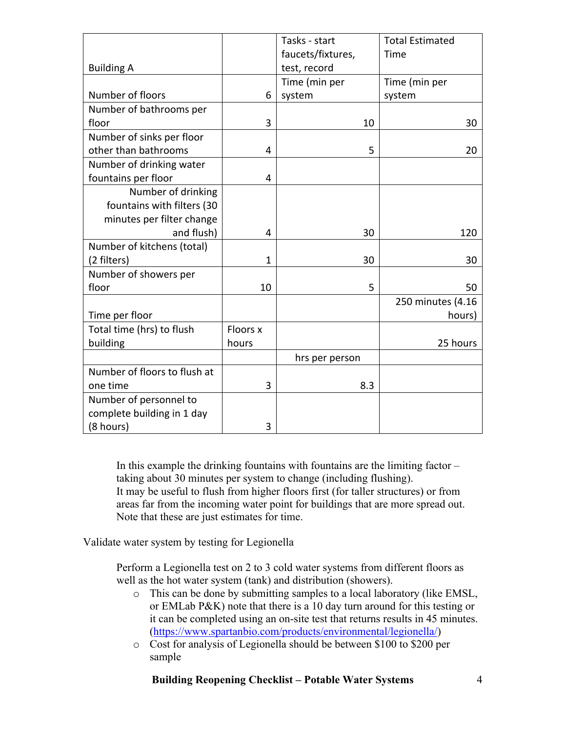|                              |              | Tasks - start     | <b>Total Estimated</b> |  |
|------------------------------|--------------|-------------------|------------------------|--|
|                              |              | faucets/fixtures, | Time                   |  |
| <b>Building A</b>            |              | test, record      |                        |  |
|                              |              | Time (min per     | Time (min per          |  |
| Number of floors             | 6            | system            | system                 |  |
| Number of bathrooms per      |              |                   |                        |  |
| floor                        | 3            | 10                | 30                     |  |
| Number of sinks per floor    |              |                   |                        |  |
| other than bathrooms         | 4            | 5                 | 20                     |  |
| Number of drinking water     |              |                   |                        |  |
| fountains per floor          | 4            |                   |                        |  |
| Number of drinking           |              |                   |                        |  |
| fountains with filters (30   |              |                   |                        |  |
| minutes per filter change    |              |                   |                        |  |
| and flush)                   | 4            | 30                | 120                    |  |
| Number of kitchens (total)   |              |                   |                        |  |
| (2 filters)                  | $\mathbf{1}$ | 30                | 30                     |  |
| Number of showers per        |              |                   |                        |  |
| floor                        | 10           | 5                 | 50                     |  |
|                              |              |                   | 250 minutes (4.16      |  |
| Time per floor               |              |                   | hours)                 |  |
| Total time (hrs) to flush    | Floors x     |                   |                        |  |
| building                     | hours        |                   | 25 hours               |  |
|                              |              | hrs per person    |                        |  |
| Number of floors to flush at |              |                   |                        |  |
| one time                     | 3            | 8.3               |                        |  |
| Number of personnel to       |              |                   |                        |  |
| complete building in 1 day   |              |                   |                        |  |
| (8 hours)                    | 3            |                   |                        |  |

 In this example the drinking fountains with fountains are the limiting factor – taking about 30 minutes per system to change (including flushing). It may be useful to flush from higher floors first (for taller structures) or from areas far from the incoming water point for buildings that are more spread out. Note that these are just estimates for time.

Validate water system by testing for Legionella

 Perform a Legionella test on 2 to 3 cold water systems from different floors as well as the hot water system (tank) and distribution (showers).

- o This can be done by submitting samples to a local laboratory (like EMSL, or EMLab P&K) note that there is a 10 day turn around for this testing or it can be completed using an on-site test that returns results in 45 minutes. (https://www.spartanbio.com/products/environmental/legionella/)
- o Cost for analysis of Legionella should be between \$100 to \$200 per sample

**Building Reopening Checklist – Potable Water Systems** 4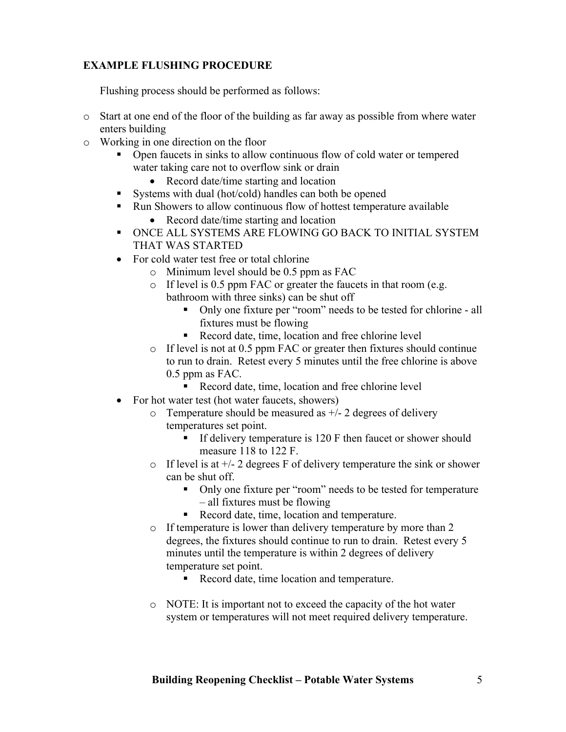### **EXAMPLE FLUSHING PROCEDURE**

Flushing process should be performed as follows:

- o Start at one end of the floor of the building as far away as possible from where water enters building
- o Working in one direction on the floor
	- § Open faucets in sinks to allow continuous flow of cold water or tempered water taking care not to overflow sink or drain
		- Record date/time starting and location
	- Systems with dual (hot/cold) handles can both be opened
	- Run Showers to allow continuous flow of hottest temperature available
		- Record date/time starting and location
	- § ONCE ALL SYSTEMS ARE FLOWING GO BACK TO INITIAL SYSTEM THAT WAS STARTED
	- For cold water test free or total chlorine
		- o Minimum level should be 0.5 ppm as FAC
		- o If level is 0.5 ppm FAC or greater the faucets in that room (e.g. bathroom with three sinks) can be shut off
			- Only one fixture per "room" needs to be tested for chlorine all fixtures must be flowing
			- Record date, time, location and free chlorine level
		- o If level is not at 0.5 ppm FAC or greater then fixtures should continue to run to drain. Retest every 5 minutes until the free chlorine is above 0.5 ppm as FAC.
			- Record date, time, location and free chlorine level
	- For hot water test (hot water faucets, showers)
		- $\circ$  Temperature should be measured as  $+/- 2$  degrees of delivery temperatures set point.
			- **•** If delivery temperature is 120 F then faucet or shower should measure 118 to 122 F.
		- $\circ$  If level is at  $\frac{+}{2}$  degrees F of delivery temperature the sink or shower can be shut off.
			- Only one fixture per "room" needs to be tested for temperature – all fixtures must be flowing
			- Record date, time, location and temperature.
		- o If temperature is lower than delivery temperature by more than 2 degrees, the fixtures should continue to run to drain. Retest every 5 minutes until the temperature is within 2 degrees of delivery temperature set point.
			- Record date, time location and temperature.
		- o NOTE: It is important not to exceed the capacity of the hot water system or temperatures will not meet required delivery temperature.